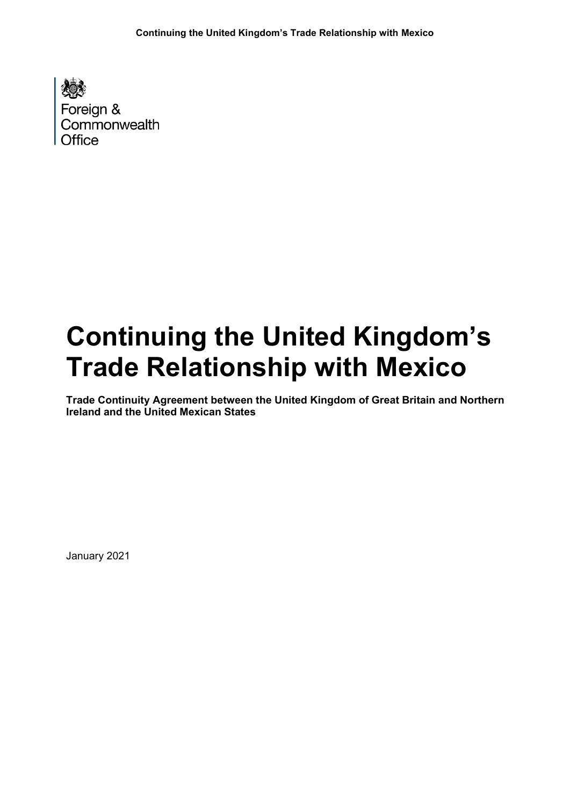Foreign & Commonwealth Office

# **Continuing the United Kingdom's Trade Relationship with Mexico**

**Trade Continuity Agreement between the United Kingdom of Great Britain and Northern Ireland and the United Mexican States**

January 2021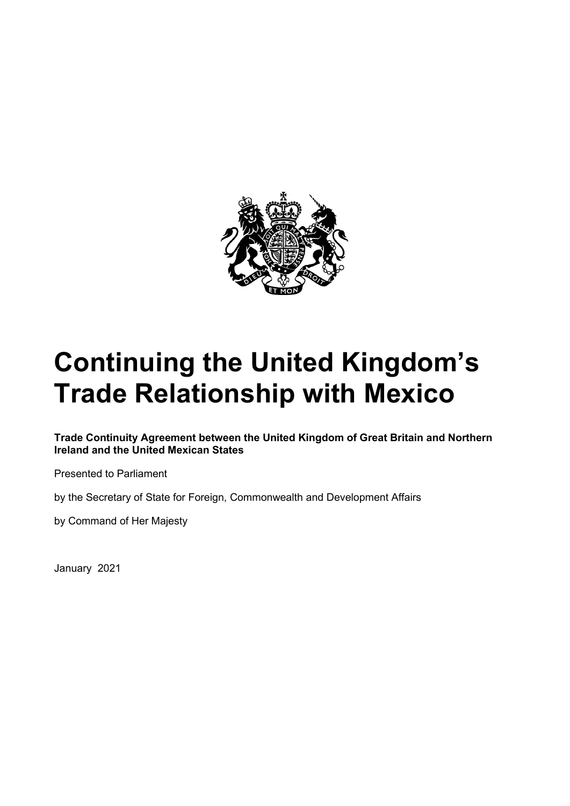

# **Continuing the United Kingdom's Trade Relationship with Mexico**

**Trade Continuity Agreement between the United Kingdom of Great Britain and Northern Ireland and the United Mexican States**

Presented to Parliament

by the Secretary of State for Foreign, Commonwealth and Development Affairs

by Command of Her Majesty

January 2021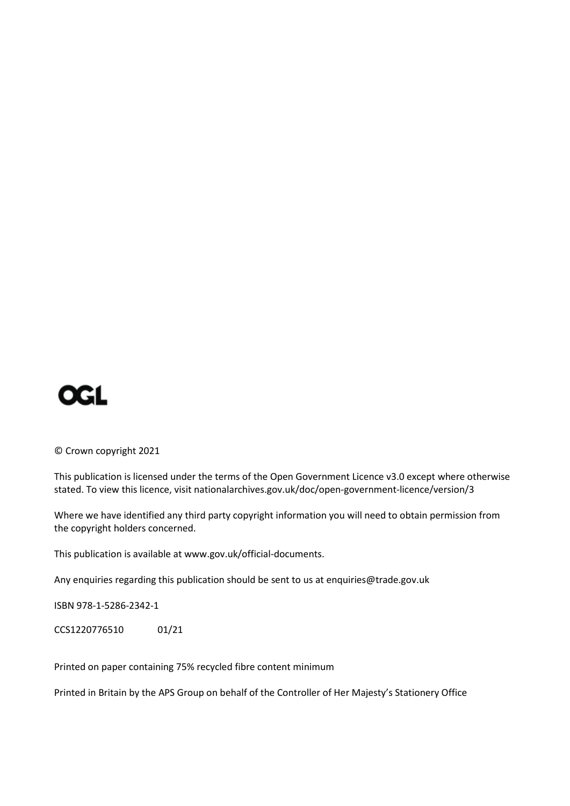

© Crown copyright 2021

This publication is licensed under the terms of the Open Government Licence v3.0 except where otherwise stated. To view this licence, visit nationalarchives.gov.uk/doc/open-government-licence/version/3

Where we have identified any third party copyright information you will need to obtain permission from the copyright holders concerned.

This publication is available a[t www.gov.uk/official-documents.](http://www.gov.uk/official-documents)

Any enquiries regarding this publication should be sent to us at enquiries@trade.gov.uk

ISBN 978-1-5286-2342-1

CCS1220776510 01/21

Printed on paper containing 75% recycled fibre content minimum

Printed in Britain by the APS Group on behalf of the Controller of Her Majesty's Stationery Office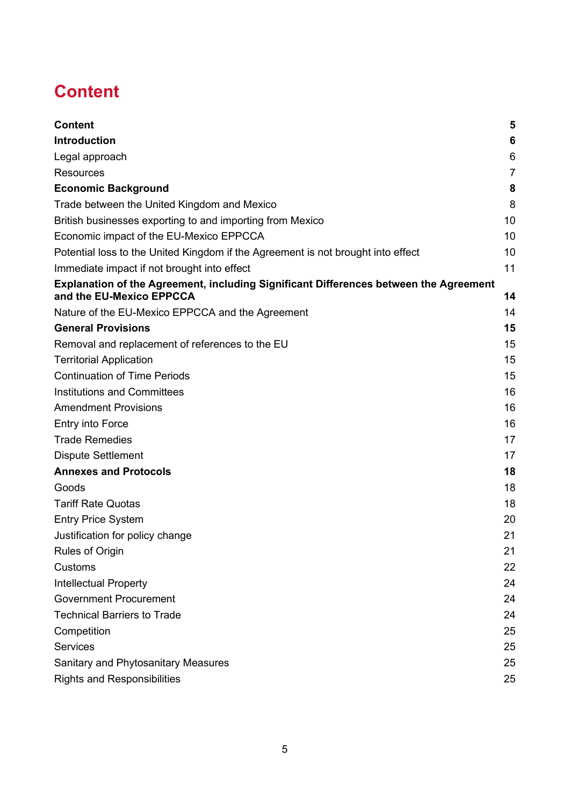# <span id="page-3-0"></span>**Content**

| <b>Content</b>                                                                                                    | 5              |
|-------------------------------------------------------------------------------------------------------------------|----------------|
| <b>Introduction</b>                                                                                               | 6              |
| Legal approach                                                                                                    | 6              |
| <b>Resources</b>                                                                                                  | $\overline{7}$ |
| <b>Economic Background</b>                                                                                        | 8              |
| Trade between the United Kingdom and Mexico                                                                       | 8              |
| British businesses exporting to and importing from Mexico                                                         | 10             |
| Economic impact of the EU-Mexico EPPCCA                                                                           | 10             |
| Potential loss to the United Kingdom if the Agreement is not brought into effect                                  | 10             |
| Immediate impact if not brought into effect                                                                       | 11             |
| Explanation of the Agreement, including Significant Differences between the Agreement<br>and the EU-Mexico EPPCCA | 14             |
| Nature of the EU-Mexico EPPCCA and the Agreement                                                                  | 14             |
| <b>General Provisions</b>                                                                                         | 15             |
| Removal and replacement of references to the EU                                                                   | 15             |
| <b>Territorial Application</b>                                                                                    | 15             |
| <b>Continuation of Time Periods</b>                                                                               | 15             |
| <b>Institutions and Committees</b>                                                                                | 16             |
| <b>Amendment Provisions</b>                                                                                       | 16             |
| <b>Entry into Force</b>                                                                                           | 16             |
| <b>Trade Remedies</b>                                                                                             | 17             |
| <b>Dispute Settlement</b>                                                                                         | 17             |
| <b>Annexes and Protocols</b>                                                                                      | 18             |
| Goods                                                                                                             | 18             |
| <b>Tariff Rate Quotas</b>                                                                                         | 18             |
| <b>Entry Price System</b>                                                                                         | 20             |
| Justification for policy change                                                                                   | 21             |
| Rules of Origin                                                                                                   | 21             |
| Customs                                                                                                           | 22             |
| <b>Intellectual Property</b>                                                                                      | 24             |
| <b>Government Procurement</b>                                                                                     | 24             |
| <b>Technical Barriers to Trade</b>                                                                                | 24             |
| Competition                                                                                                       | 25             |
| <b>Services</b>                                                                                                   | 25             |
| Sanitary and Phytosanitary Measures                                                                               | 25             |
| <b>Rights and Responsibilities</b>                                                                                | 25             |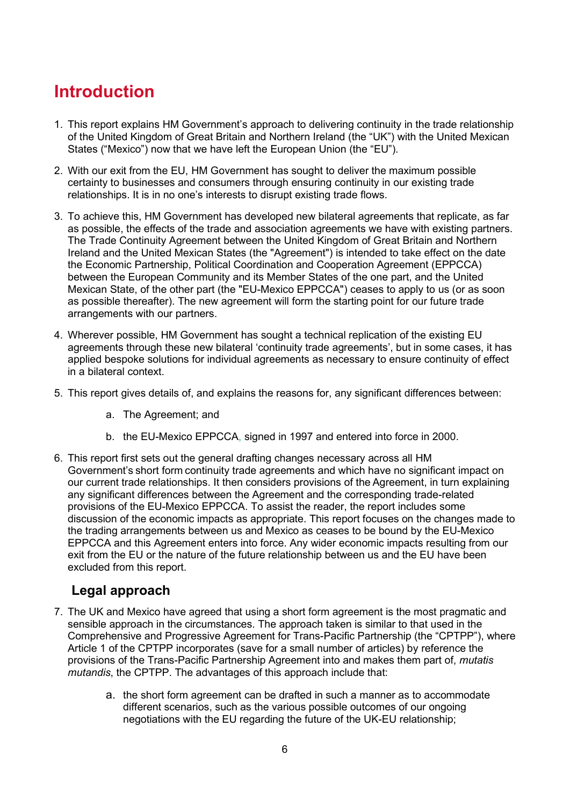# <span id="page-4-0"></span>**Introduction**

- 1. This report explains HM Government's approach to delivering continuity in the trade relationship of the United Kingdom of Great Britain and Northern Ireland (the "UK") with the United Mexican States ("Mexico") now that we have left the European Union (the "EU").
- 2. With our exit from the EU, HM Government has sought to deliver the maximum possible certainty to businesses and consumers through ensuring continuity in our existing trade relationships. It is in no one's interests to disrupt existing trade flows.
- 3. To achieve this, HM Government has developed new bilateral agreements that replicate, as far as possible, the effects of the trade and association agreements we have with existing partners. The Trade Continuity Agreement between the United Kingdom of Great Britain and Northern Ireland and the United Mexican States (the "Agreement") is intended to take effect on the date the Economic Partnership, Political Coordination and Cooperation Agreement (EPPCCA) between the European Community and its Member States of the one part, and the United Mexican State, of the other part (the "EU-Mexico EPPCCA") ceases to apply to us (or as soon as possible thereafter). The new agreement will form the starting point for our future trade arrangements with our partners.
- 4. Wherever possible, HM Government has sought a technical replication of the existing EU agreements through these new bilateral 'continuity trade agreements', but in some cases, it has applied bespoke solutions for individual agreements as necessary to ensure continuity of effect in a bilateral context.
- 5. This report gives details of, and explains the reasons for, any significant differences between:
	- a. The Agreement; and
	- b. the EU-Mexico EPPCCA, signed in 1997 and entered into force in 2000.
- 6. This report first sets out the general drafting changes necessary across all HM Government's short form continuity trade agreements and which have no significant impact on our current trade relationships. It then considers provisions of the Agreement, in turn explaining any significant differences between the Agreement and the corresponding trade-related provisions of the EU-Mexico EPPCCA. To assist the reader, the report includes some discussion of the economic impacts as appropriate. This report focuses on the changes made to the trading arrangements between us and Mexico as ceases to be bound by the EU-Mexico EPPCCA and this Agreement enters into force. Any wider economic impacts resulting from our exit from the EU or the nature of the future relationship between us and the EU have been excluded from this report.

## <span id="page-4-1"></span>**Legal approach**

- 7. The UK and Mexico have agreed that using a short form agreement is the most pragmatic and sensible approach in the circumstances. The approach taken is similar to that used in the Comprehensive and Progressive Agreement for Trans-Pacific Partnership (the "CPTPP"), where Article 1 of the CPTPP incorporates (save for a small number of articles) by reference the provisions of the Trans-Pacific Partnership Agreement into and makes them part of, *mutatis mutandis*, the CPTPP. The advantages of this approach include that:
	- a. the short form agreement can be drafted in such a manner as to accommodate different scenarios, such as the various possible outcomes of our ongoing negotiations with the EU regarding the future of the UK-EU relationship;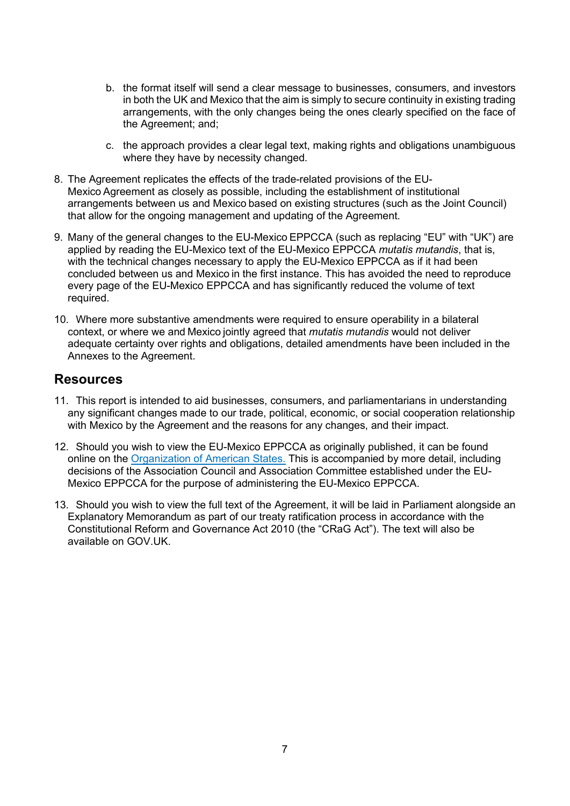- b. the format itself will send a clear message to businesses, consumers, and investors in both the UK and Mexico that the aim is simply to secure continuity in existing trading arrangements, with the only changes being the ones clearly specified on the face of the Agreement; and;
- c. the approach provides a clear legal text, making rights and obligations unambiguous where they have by necessity changed.
- 8. The Agreement replicates the effects of the trade-related provisions of the EU-Mexico Agreement as closely as possible, including the establishment of institutional arrangements between us and Mexico based on existing structures (such as the Joint Council) that allow for the ongoing management and updating of the Agreement.
- 9. Many of the general changes to the EU-Mexico EPPCCA (such as replacing "EU" with "UK") are applied by reading the EU-Mexico text of the EU-Mexico EPPCCA *mutatis mutandis*, that is, with the technical changes necessary to apply the EU-Mexico EPPCCA as if it had been concluded between us and Mexico in the first instance. This has avoided the need to reproduce every page of the EU-Mexico EPPCCA and has significantly reduced the volume of text required.
- 10. Where more substantive amendments were required to ensure operability in a bilateral context, or where we and Mexico jointly agreed that *mutatis mutandis* would not deliver adequate certainty over rights and obligations, detailed amendments have been included in the Annexes to the Agreement.

#### <span id="page-5-0"></span>**Resources**

- 11. This report is intended to aid businesses, consumers, and parliamentarians in understanding any significant changes made to our trade, political, economic, or social cooperation relationship with Mexico by the Agreement and the reasons for any changes, and their impact.
- 12. Should you wish to view the EU-Mexico EPPCCA as originally published, it can be found online on the [Organization of American States.](http://www.sice.oas.org/Trade/MEX_EU/English/index_e.asp#PDF) This is accompanied by more detail, including decisions of the Association Council and Association Committee established under the EU-Mexico EPPCCA for the purpose of administering the EU-Mexico EPPCCA.
- 13. Should you wish to view the full text of the Agreement, it will be laid in Parliament alongside an Explanatory Memorandum as part of our treaty ratification process in accordance with the Constitutional Reform and Governance Act 2010 (the "CRaG Act"). The text will also be available on GOV UK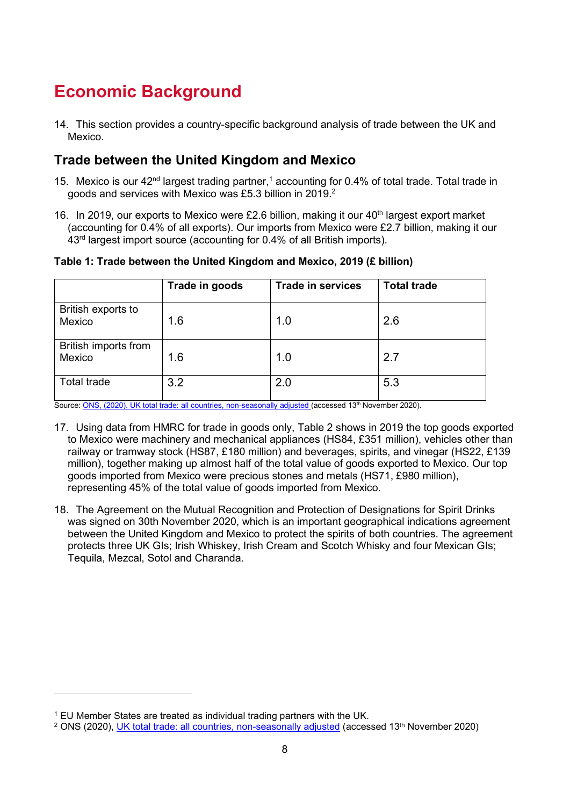# <span id="page-6-0"></span>**Economic Background**

14. This section provides a country-specific background analysis of trade between the UK and Mexico.

#### <span id="page-6-1"></span>**Trade between the United Kingdom and Mexico**

- 15. Mexico is our 42<sup>nd</sup> largest trading partner,<sup>1</sup> accounting for 0.4% of total trade. Total trade in goods and services with Mexico was £5.3 billion in 2019.<sup>2</sup>
- 16. In 2019, our exports to Mexico were £2.6 billion, making it our  $40<sup>th</sup>$  largest export market (accounting for 0.4% of all exports). Our imports from Mexico were £2.7 billion, making it our 43rd largest import source (accounting for 0.4% of all British imports).

**Table 1: Trade between the United Kingdom and Mexico, 2019 (£ billion)** 

|                                | Trade in goods | <b>Trade in services</b> | <b>Total trade</b> |
|--------------------------------|----------------|--------------------------|--------------------|
| British exports to<br>Mexico   | 1.6            | 1.0                      | 2.6                |
| British imports from<br>Mexico | 1.6            | 1.0                      | 2.7                |
| <b>Total trade</b>             | 3.2            | 2.0                      | 5.3                |

Source[: ONS, \(2020\). UK total trade: all countries, non-seasonally adjusted](https://www.ons.gov.uk/businessindustryandtrade/internationaltrade/datasets/uktotaltradeallcountriesnonseasonallyadjusted) (accessed 13<sup>th</sup> November 2020).

- 17. Using data from HMRC for trade in goods only, Table 2 shows in 2019 the top goods exported to Mexico were machinery and mechanical appliances (HS84, £351 million), vehicles other than railway or tramway stock (HS87, £180 million) and beverages, spirits, and vinegar (HS22, £139 million), together making up almost half of the total value of goods exported to Mexico. Our top goods imported from Mexico were precious stones and metals (HS71, £980 million), representing 45% of the total value of goods imported from Mexico.
- 18. The Agreement on the Mutual Recognition and Protection of Designations for Spirit Drinks was signed on 30th November 2020, which is an important geographical indications agreement between the United Kingdom and Mexico to protect the spirits of both countries. The agreement protects three UK GIs; Irish Whiskey, Irish Cream and Scotch Whisky and four Mexican GIs; Tequila, Mezcal, Sotol and Charanda.

<sup>1</sup> EU Member States are treated as individual trading partners with the UK.

<sup>&</sup>lt;sup>2</sup> ONS (2020), <u>UK total trade: all countries, non-seasonally adjusted</u> (accessed 13<sup>th</sup> November 2020)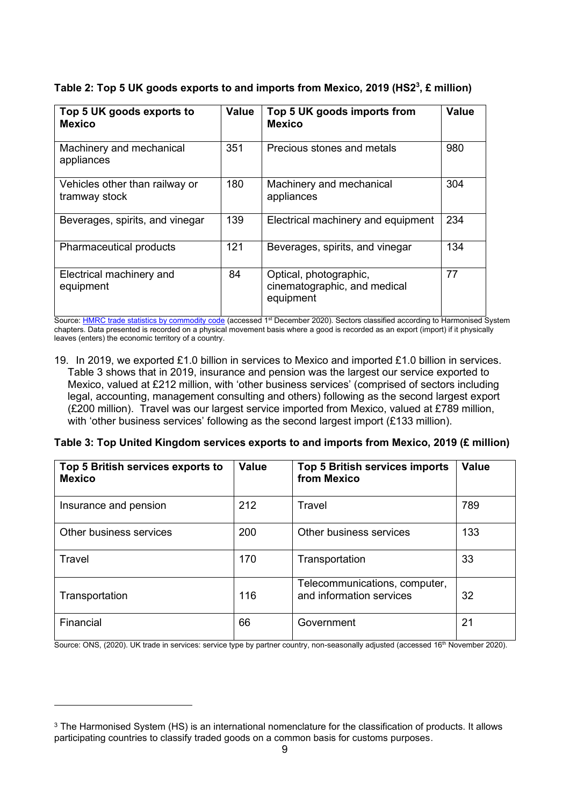| Top 5 UK goods exports to<br><b>Mexico</b>      | <b>Value</b> | Top 5 UK goods imports from<br><b>Mexico</b>                        | <b>Value</b> |
|-------------------------------------------------|--------------|---------------------------------------------------------------------|--------------|
| Machinery and mechanical<br>appliances          | 351          | Precious stones and metals                                          | 980          |
| Vehicles other than railway or<br>tramway stock | 180          | Machinery and mechanical<br>appliances                              | 304          |
| Beverages, spirits, and vinegar                 | 139          | Electrical machinery and equipment                                  | 234          |
| Pharmaceutical products                         | 121          | Beverages, spirits, and vinegar                                     | 134          |
| Electrical machinery and<br>equipment           | 84           | Optical, photographic,<br>cinematographic, and medical<br>equipment | 77           |

**Table 2: Top 5 UK goods exports to and imports from Mexico, 2019 (HS2<sup>3</sup> , £ million)** 

Source[: HMRC trade statistics by commodity code](https://www.uktradeinfo.com/Statistics/BuildYourOwnTables/Pages/Home.aspx) (accessed 1<sup>st</sup> December 2020). Sectors classified according to Harmonised System chapters. Data presented is recorded on a physical movement basis where a good is recorded as an export (import) if it physically leaves (enters) the economic territory of a country.

19. In 2019, we exported £1.0 billion in services to Mexico and imported £1.0 billion in services. Table 3 shows that in 2019, insurance and pension was the largest our service exported to Mexico, valued at £212 million, with 'other business services' (comprised of sectors including legal, accounting, management consulting and others) following as the second largest export (£200 million). Travel was our largest service imported from Mexico, valued at £789 million, with 'other business services' following as the second largest import (£133 million).

|  | Table 3: Top United Kingdom services exports to and imports from Mexico, 2019 (£ million) |  |
|--|-------------------------------------------------------------------------------------------|--|
|--|-------------------------------------------------------------------------------------------|--|

| Top 5 British services exports to<br><b>Mexico</b> | <b>Value</b> | <b>Top 5 British services imports</b><br>from Mexico      | <b>Value</b> |
|----------------------------------------------------|--------------|-----------------------------------------------------------|--------------|
| Insurance and pension                              | 212          | Travel                                                    | 789          |
| Other business services                            | 200          | Other business services                                   | 133          |
| Travel                                             | 170          | Transportation                                            | 33           |
| Transportation                                     | 116          | Telecommunications, computer,<br>and information services | 32           |
| Financial                                          | 66           | Government                                                | 21           |

Source: ONS, (2020). UK trade in services: service type by partner country, non-seasonally adjusted (accessed 16<sup>th</sup> November 2020).

<sup>3</sup> The Harmonised System (HS) is an international nomenclature for the classification of products. It allows participating countries to classify traded goods on a common basis for customs purposes.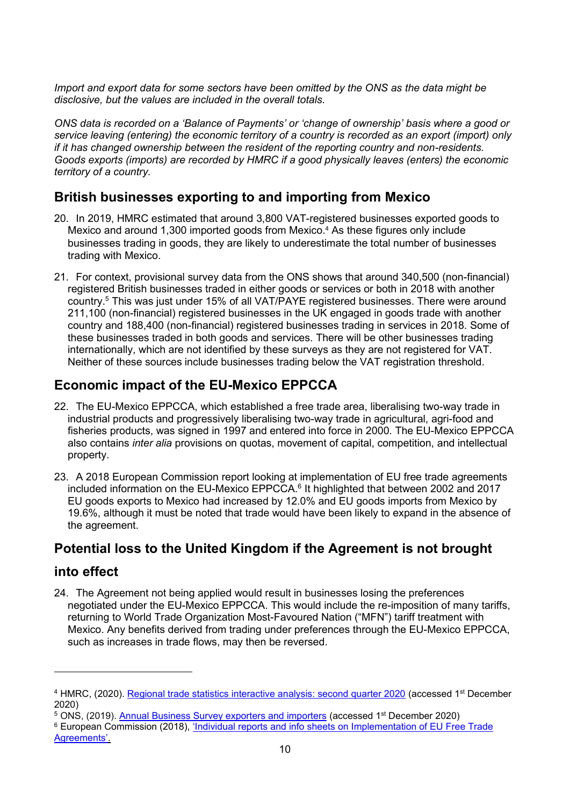*Import and export data for some sectors have been omitted by the ONS as the data might be disclosive, but the values are included in the overall totals.* 

*ONS data is recorded on a 'Balance of Payments' or 'change of ownership' basis where a good or service leaving (entering) the economic territory of a country is recorded as an export (import) only if it has changed ownership between the resident of the reporting country and non-residents. Goods exports (imports) are recorded by HMRC if a good physically leaves (enters) the economic territory of a country.* 

#### <span id="page-8-0"></span>**British businesses exporting to and importing from Mexico**

- 20. In 2019, HMRC estimated that around 3,800 VAT-registered businesses exported goods to Mexico and around 1,300 imported goods from Mexico. 4 As these figures only include businesses trading in goods, they are likely to underestimate the total number of businesses trading with Mexico.
- 21. For context, provisional survey data from the ONS shows that around 340,500 (non-financial) registered British businesses traded in either goods or services or both in 2018 with another country.<sup>5</sup> This was just under 15% of all VAT/PAYE registered businesses. There were around 211,100 (non-financial) registered businesses in the UK engaged in goods trade with another country and 188,400 (non-financial) registered businesses trading in services in 2018. Some of these businesses traded in both goods and services. There will be other businesses trading internationally, which are not identified by these surveys as they are not registered for VAT. Neither of these sources include businesses trading below the VAT registration threshold.

## <span id="page-8-1"></span>**Economic impact of the EU-Mexico EPPCCA**

- 22. The EU-Mexico EPPCCA, which established a free trade area, liberalising two-way trade in industrial products and progressively liberalising two-way trade in agricultural, agri-food and fisheries products, was signed in 1997 and entered into force in 2000. The EU-Mexico EPPCCA also contains *inter alia* provisions on quotas, movement of capital, competition, and intellectual property.
- 23. A 2018 European Commission report looking at implementation of EU free trade agreements included information on the EU-Mexico EPPCCA.<sup>6</sup> It highlighted that between 2002 and 2017 EU goods exports to Mexico had increased by 12.0% and EU goods imports from Mexico by 19.6%, although it must be noted that trade would have been likely to expand in the absence of the agreement.

# <span id="page-8-2"></span>**Potential loss to the United Kingdom if the Agreement is not brought**

#### **into effect**

24. The Agreement not being applied would result in businesses losing the preferences negotiated under the EU-Mexico EPPCCA. This would include the re-imposition of many tariffs, returning to World Trade Organization Most-Favoured Nation ("MFN") tariff treatment with Mexico. Any benefits derived from trading under preferences through the EU-Mexico EPPCCA, such as increases in trade flows, may then be reversed.

<sup>&</sup>lt;sup>4</sup> HMRC, (2020). <u>Regional trade statistics interactive analysis: second quarter 2020</u> (accessed 1st December 2020)

<sup>5</sup> ONS, (2019). [Annual Business Survey exporters and importers](https://www.ons.gov.uk/businessindustryandtrade/business/businessservices/datasets/annualbusinesssurveyimportersandexporters) (accessed 1st December 2020)

<sup>&</sup>lt;sup>6</sup> European Commission (2018), <u>'Individual reports and info sheets on Implementation of EU Free Trade</u> [Agreements'.](http://trade.ec.europa.eu/doclib/docs/2018/october/tradoc_157473.PDF)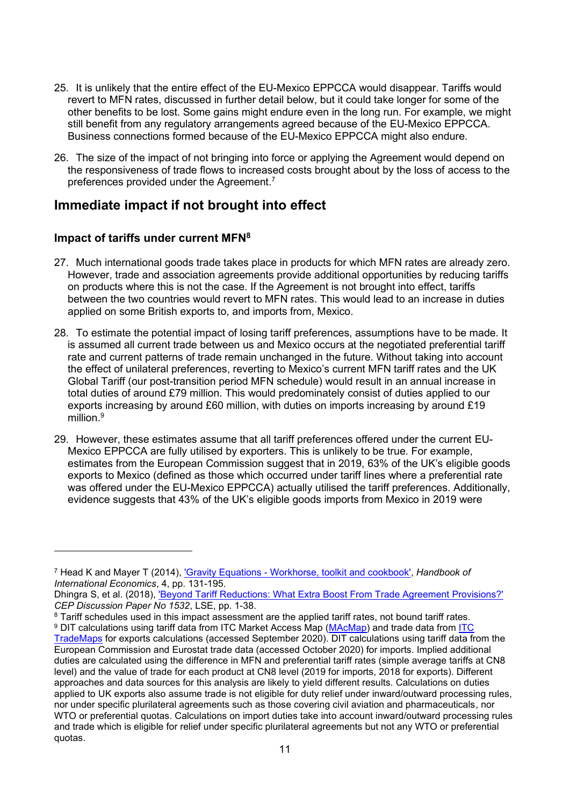- 25. It is unlikely that the entire effect of the EU-Mexico EPPCCA would disappear. Tariffs would revert to MFN rates, discussed in further detail below, but it could take longer for some of the other benefits to be lost. Some gains might endure even in the long run. For example, we might still benefit from any regulatory arrangements agreed because of the EU-Mexico EPPCCA. Business connections formed because of the EU-Mexico EPPCCA might also endure.
- 26. The size of the impact of not bringing into force or applying the Agreement would depend on the responsiveness of trade flows to increased costs brought about by the loss of access to the preferences provided under the Agreement. 7

#### <span id="page-9-0"></span>**Immediate impact if not brought into effect**

#### **Impact of tariffs under current MFN<sup>8</sup>**

- 27. Much international goods trade takes place in products for which MFN rates are already zero. However, trade and association agreements provide additional opportunities by reducing tariffs on products where this is not the case. If the Agreement is not brought into effect, tariffs between the two countries would revert to MFN rates. This would lead to an increase in duties applied on some British exports to, and imports from, Mexico.
- 28. To estimate the potential impact of losing tariff preferences, assumptions have to be made. It is assumed all current trade between us and Mexico occurs at the negotiated preferential tariff rate and current patterns of trade remain unchanged in the future. Without taking into account the effect of unilateral preferences, reverting to Mexico's current MFN tariff rates and the UK Global Tariff (our post-transition period MFN schedule) would result in an annual increase in total duties of around £79 million. This would predominately consist of duties applied to our exports increasing by around £60 million, with duties on imports increasing by around £19 million $9$
- 29. However, these estimates assume that all tariff preferences offered under the current EU-Mexico EPPCCA are fully utilised by exporters. This is unlikely to be true. For example, estimates from the European Commission suggest that in 2019, 63% of the UK's eligible goods exports to Mexico (defined as those which occurred under tariff lines where a preferential rate was offered under the EU-Mexico EPPCCA) actually utilised the tariff preferences. Additionally, evidence suggests that 43% of the UK's eligible goods imports from Mexico in 2019 were

<sup>7</sup> Head K and Mayer T (2014), ['Gravity Equations - Workhorse, toolkit and cookbook',](https://www.sciencedirect.com/science/article/pii/B9780444543141000033) *Handbook of International Economics*, 4, pp. 131-195.

Dhingra S, et al. (2018), ['Beyond Tariff Reductions: What Extra Boost From Trade Agreement Provisions?'](http://eprints.lse.ac.uk/88683/1/dp1532.pdf) *CEP Discussion Paper No 1532*, LSE, pp. 1-38.

<sup>&</sup>lt;sup>8</sup> Tariff schedules used in this impact assessment are the applied tariff rates, not bound tariff rates.

<sup>&</sup>lt;sup>9</sup> DIT calculations using tariff data from [ITC](https://www.trademap.org/) Market Access Map (<u>MAcMap</u>) and trade data from <u>ITC</u> [TradeMaps f](https://www.trademap.org/)or exports calculations (accessed September 2020). DIT calculations using tariff data from the European Commission and Eurostat trade data (accessed October 2020) for imports. Implied additional duties are calculated using the difference in MFN and preferential tariff rates (simple average tariffs at CN8 level) and the value of trade for each product at CN8 level (2019 for imports, 2018 for exports). Different approaches and data sources for this analysis are likely to yield different results. Calculations on duties applied to UK exports also assume trade is not eligible for duty relief under inward/outward processing rules, nor under specific plurilateral agreements such as those covering civil aviation and pharmaceuticals, nor WTO or preferential quotas. Calculations on import duties take into account inward/outward processing rules and trade which is eligible for relief under specific plurilateral agreements but not any WTO or preferential quotas.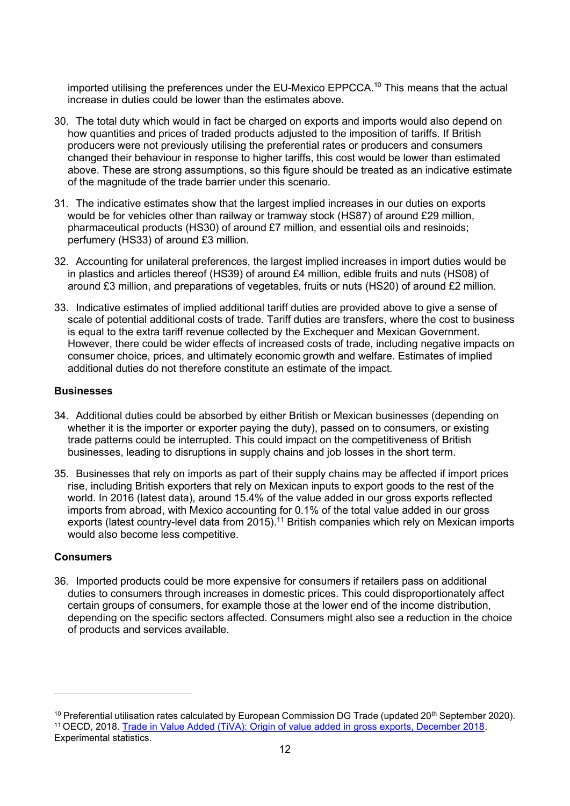imported utilising the preferences under the EU-Mexico EPPCCA.<sup>10</sup> This means that the actual increase in duties could be lower than the estimates above.

- 30. The total duty which would in fact be charged on exports and imports would also depend on how quantities and prices of traded products adjusted to the imposition of tariffs. If British producers were not previously utilising the preferential rates or producers and consumers changed their behaviour in response to higher tariffs, this cost would be lower than estimated above. These are strong assumptions, so this figure should be treated as an indicative estimate of the magnitude of the trade barrier under this scenario.
- 31. The indicative estimates show that the largest implied increases in our duties on exports would be for vehicles other than railway or tramway stock (HS87) of around £29 million, pharmaceutical products (HS30) of around £7 million, and essential oils and resinoids; perfumery (HS33) of around £3 million.
- 32. Accounting for unilateral preferences, the largest implied increases in import duties would be in plastics and articles thereof (HS39) of around £4 million, edible fruits and nuts (HS08) of around £3 million, and preparations of vegetables, fruits or nuts (HS20) of around £2 million.
- 33. Indicative estimates of implied additional tariff duties are provided above to give a sense of scale of potential additional costs of trade. Tariff duties are transfers, where the cost to business is equal to the extra tariff revenue collected by the Exchequer and Mexican Government. However, there could be wider effects of increased costs of trade, including negative impacts on consumer choice, prices, and ultimately economic growth and welfare. Estimates of implied additional duties do not therefore constitute an estimate of the impact.

#### **Businesses**

- 34. Additional duties could be absorbed by either British or Mexican businesses (depending on whether it is the importer or exporter paying the duty), passed on to consumers, or existing trade patterns could be interrupted. This could impact on the competitiveness of British businesses, leading to disruptions in supply chains and job losses in the short term.
- 35. Businesses that rely on imports as part of their supply chains may be affected if import prices rise, including British exporters that rely on Mexican inputs to export goods to the rest of the world. In 2016 (latest data), around 15.4% of the value added in our gross exports reflected imports from abroad, with Mexico accounting for 0.1% of the total value added in our gross exports (latest country-level data from 2015).<sup>11</sup> British companies which rely on Mexican imports would also become less competitive.

#### **Consumers**

36. Imported products could be more expensive for consumers if retailers pass on additional duties to consumers through increases in domestic prices. This could disproportionately affect certain groups of consumers, for example those at the lower end of the income distribution, depending on the specific sectors affected. Consumers might also see a reduction in the choice of products and services available.

<sup>&</sup>lt;sup>10</sup> Preferential utilisation rates calculated by European Commission DG Trade (updated 20<sup>th</sup> September 2020). <sup>11</sup> OECD, 2018. [Trade in Value Added \(TiVA\): Origin of value added in gross exports, December 2018](https://stats.oecd.org/Index.aspx?DataSetCode=TIVA_2018_C1). Experimental statistics.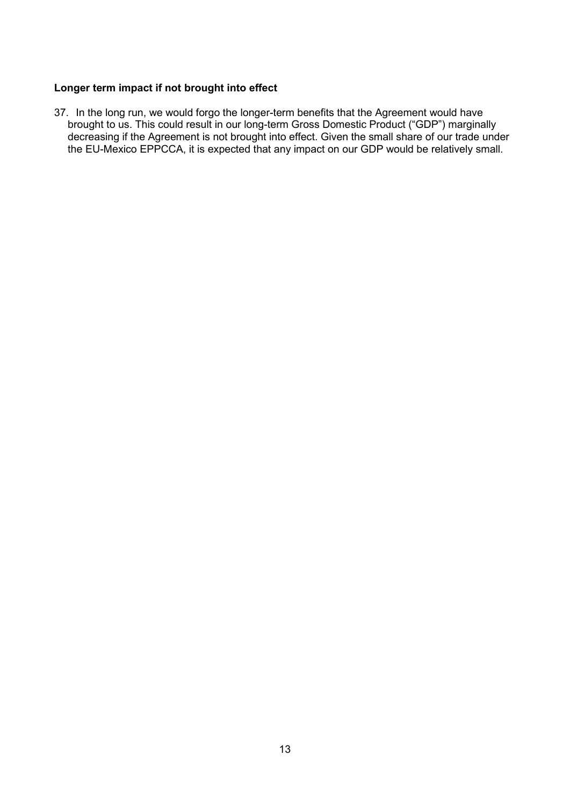#### **Longer term impact if not brought into effect**

37. In the long run, we would forgo the longer-term benefits that the Agreement would have brought to us. This could result in our long-term Gross Domestic Product ("GDP") marginally decreasing if the Agreement is not brought into effect. Given the small share of our trade under the EU-Mexico EPPCCA, it is expected that any impact on our GDP would be relatively small.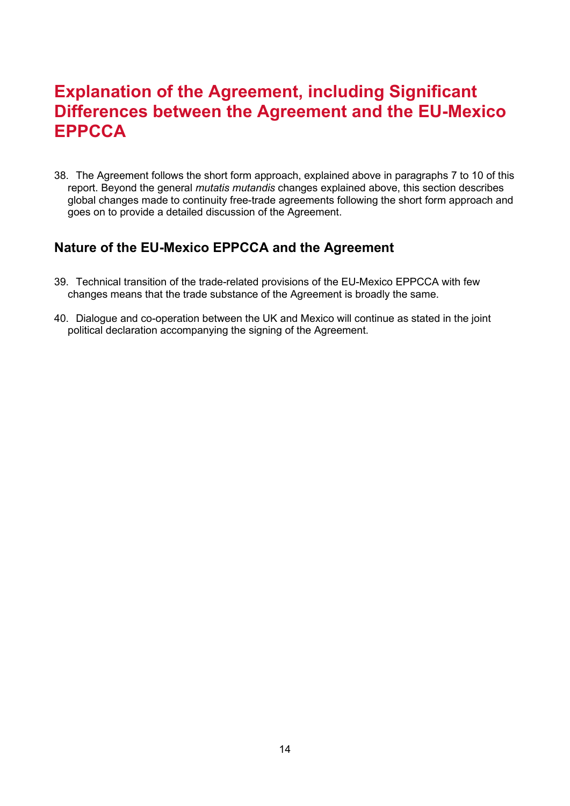# <span id="page-12-0"></span>**Explanation of the Agreement, including Significant Differences between the Agreement and the EU-Mexico EPPCCA**

38. The Agreement follows the short form approach, explained above in paragraphs 7 to 10 of this report. Beyond the general *mutatis mutandis* changes explained above, this section describes global changes made to continuity free-trade agreements following the short form approach and goes on to provide a detailed discussion of the Agreement.

#### <span id="page-12-1"></span>**Nature of the EU-Mexico EPPCCA and the Agreement**

- 39. Technical transition of the trade-related provisions of the EU-Mexico EPPCCA with few changes means that the trade substance of the Agreement is broadly the same.
- 40. Dialogue and co-operation between the UK and Mexico will continue as stated in the joint political declaration accompanying the signing of the Agreement.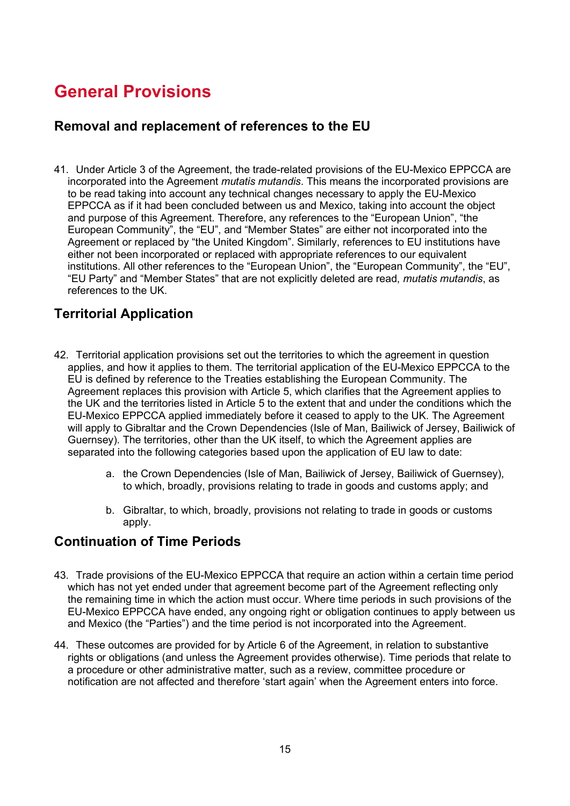# <span id="page-13-0"></span>**General Provisions**

#### <span id="page-13-1"></span>**Removal and replacement of references to the EU**

41. Under Article 3 of the Agreement, the trade-related provisions of the EU-Mexico EPPCCA are incorporated into the Agreement *mutatis mutandis*. This means the incorporated provisions are to be read taking into account any technical changes necessary to apply the EU-Mexico EPPCCA as if it had been concluded between us and Mexico, taking into account the object and purpose of this Agreement. Therefore, any references to the "European Union", "the European Community", the "EU", and "Member States" are either not incorporated into the Agreement or replaced by "the United Kingdom". Similarly, references to EU institutions have either not been incorporated or replaced with appropriate references to our equivalent institutions. All other references to the "European Union", the "European Community", the "EU", "EU Party" and "Member States" that are not explicitly deleted are read, *mutatis mutandis*, as references to the UK.

## <span id="page-13-2"></span>**Territorial Application**

- 42. Territorial application provisions set out the territories to which the agreement in question applies, and how it applies to them. The territorial application of the EU-Mexico EPPCCA to the EU is defined by reference to the Treaties establishing the European Community. The Agreement replaces this provision with Article 5, which clarifies that the Agreement applies to the UK and the territories listed in Article 5 to the extent that and under the conditions which the EU-Mexico EPPCCA applied immediately before it ceased to apply to the UK. The Agreement will apply to Gibraltar and the Crown Dependencies (Isle of Man, Bailiwick of Jersey, Bailiwick of Guernsey). The territories, other than the UK itself, to which the Agreement applies are separated into the following categories based upon the application of EU law to date:
	- a. the Crown Dependencies (Isle of Man, Bailiwick of Jersey, Bailiwick of Guernsey), to which, broadly, provisions relating to trade in goods and customs apply; and
	- b. Gibraltar, to which, broadly, provisions not relating to trade in goods or customs apply.

#### <span id="page-13-3"></span>**Continuation of Time Periods**

- 43. Trade provisions of the EU-Mexico EPPCCA that require an action within a certain time period which has not yet ended under that agreement become part of the Agreement reflecting only the remaining time in which the action must occur. Where time periods in such provisions of the EU-Mexico EPPCCA have ended, any ongoing right or obligation continues to apply between us and Mexico (the "Parties") and the time period is not incorporated into the Agreement.
- <span id="page-13-4"></span>44. These outcomes are provided for by Article 6 of the Agreement, in relation to substantive rights or obligations (and unless the Agreement provides otherwise). Time periods that relate to a procedure or other administrative matter, such as a review, committee procedure or notification are not affected and therefore 'start again' when the Agreement enters into force.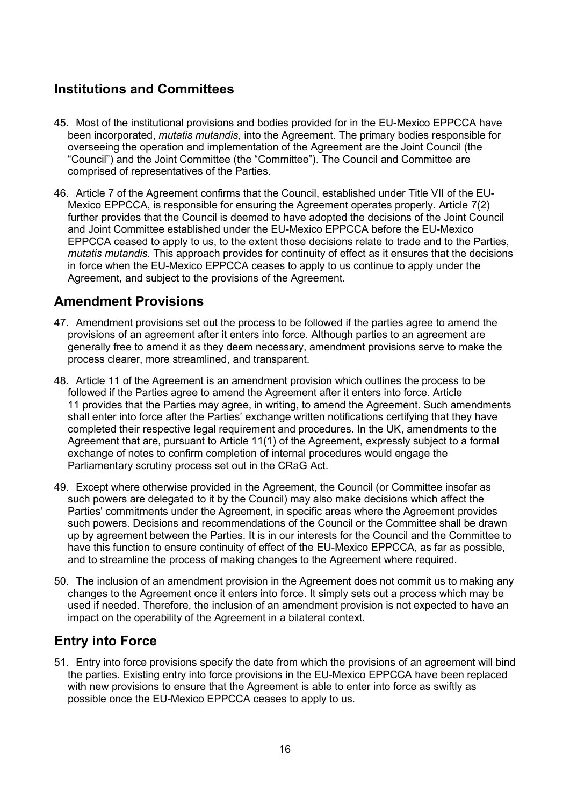## **Institutions and Committees**

- 45. Most of the institutional provisions and bodies provided for in the EU-Mexico EPPCCA have been incorporated, *mutatis mutandis*, into the Agreement. The primary bodies responsible for overseeing the operation and implementation of the Agreement are the Joint Council (the "Council") and the Joint Committee (the "Committee"). The Council and Committee are comprised of representatives of the Parties.
- 46. Article 7 of the Agreement confirms that the Council, established under Title VII of the EU-Mexico EPPCCA, is responsible for ensuring the Agreement operates properly. Article 7(2) further provides that the Council is deemed to have adopted the decisions of the Joint Council and Joint Committee established under the EU-Mexico EPPCCA before the EU-Mexico EPPCCA ceased to apply to us, to the extent those decisions relate to trade and to the Parties, *mutatis mutandis*. This approach provides for continuity of effect as it ensures that the decisions in force when the EU-Mexico EPPCCA ceases to apply to us continue to apply under the Agreement, and subject to the provisions of the Agreement.

#### <span id="page-14-0"></span>**Amendment Provisions**

- 47. Amendment provisions set out the process to be followed if the parties agree to amend the provisions of an agreement after it enters into force. Although parties to an agreement are generally free to amend it as they deem necessary, amendment provisions serve to make the process clearer, more streamlined, and transparent.
- 48. Article 11 of the Agreement is an amendment provision which outlines the process to be followed if the Parties agree to amend the Agreement after it enters into force. Article 11 provides that the Parties may agree, in writing, to amend the Agreement. Such amendments shall enter into force after the Parties' exchange written notifications certifying that they have completed their respective legal requirement and procedures. In the UK, amendments to the Agreement that are, pursuant to Article 11(1) of the Agreement, expressly subject to a formal exchange of notes to confirm completion of internal procedures would engage the Parliamentary scrutiny process set out in the CRaG Act.
- 49. Except where otherwise provided in the Agreement, the Council (or Committee insofar as such powers are delegated to it by the Council) may also make decisions which affect the Parties' commitments under the Agreement, in specific areas where the Agreement provides such powers. Decisions and recommendations of the Council or the Committee shall be drawn up by agreement between the Parties. It is in our interests for the Council and the Committee to have this function to ensure continuity of effect of the EU-Mexico EPPCCA, as far as possible, and to streamline the process of making changes to the Agreement where required.
- 50. The inclusion of an amendment provision in the Agreement does not commit us to making any changes to the Agreement once it enters into force. It simply sets out a process which may be used if needed. Therefore, the inclusion of an amendment provision is not expected to have an impact on the operability of the Agreement in a bilateral context.

## <span id="page-14-1"></span>**Entry into Force**

51. Entry into force provisions specify the date from which the provisions of an agreement will bind the parties. Existing entry into force provisions in the EU-Mexico EPPCCA have been replaced with new provisions to ensure that the Agreement is able to enter into force as swiftly as possible once the EU-Mexico EPPCCA ceases to apply to us.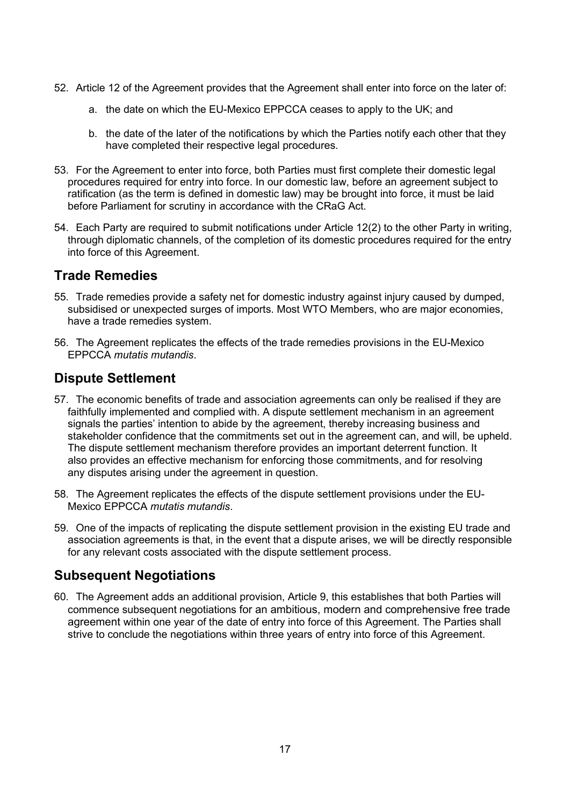- 52. Article 12 of the Agreement provides that the Agreement shall enter into force on the later of:
	- a. the date on which the EU-Mexico EPPCCA ceases to apply to the UK; and
	- b. the date of the later of the notifications by which the Parties notify each other that they have completed their respective legal procedures.
- 53. For the Agreement to enter into force, both Parties must first complete their domestic legal procedures required for entry into force. In our domestic law, before an agreement subject to ratification (as the term is defined in domestic law) may be brought into force, it must be laid before Parliament for scrutiny in accordance with the CRaG Act.
- 54. Each Party are required to submit notifications under Article 12(2) to the other Party in writing, through diplomatic channels, of the completion of its domestic procedures required for the entry into force of this Agreement.

#### <span id="page-15-0"></span>**Trade Remedies**

- 55. Trade remedies provide a safety net for domestic industry against injury caused by dumped, subsidised or unexpected surges of imports. Most WTO Members, who are major economies, have a trade remedies system.
- 56. The Agreement replicates the effects of the trade remedies provisions in the EU-Mexico EPPCCA *mutatis mutandis*.

#### <span id="page-15-1"></span>**Dispute Settlement**

- 57. The economic benefits of trade and association agreements can only be realised if they are faithfully implemented and complied with. A dispute settlement mechanism in an agreement signals the parties' intention to abide by the agreement, thereby increasing business and stakeholder confidence that the commitments set out in the agreement can, and will, be upheld. The dispute settlement mechanism therefore provides an important deterrent function. It also provides an effective mechanism for enforcing those commitments, and for resolving any disputes arising under the agreement in question.
- 58. The Agreement replicates the effects of the dispute settlement provisions under the EU-Mexico EPPCCA *mutatis mutandis*.
- 59. One of the impacts of replicating the dispute settlement provision in the existing EU trade and association agreements is that, in the event that a dispute arises, we will be directly responsible for any relevant costs associated with the dispute settlement process.

# **Subsequent Negotiations**

60. The Agreement adds an additional provision, Article 9, this establishes that both Parties will commence subsequent negotiations for an ambitious, modern and comprehensive free trade agreement within one year of the date of entry into force of this Agreement. The Parties shall strive to conclude the negotiations within three years of entry into force of this Agreement.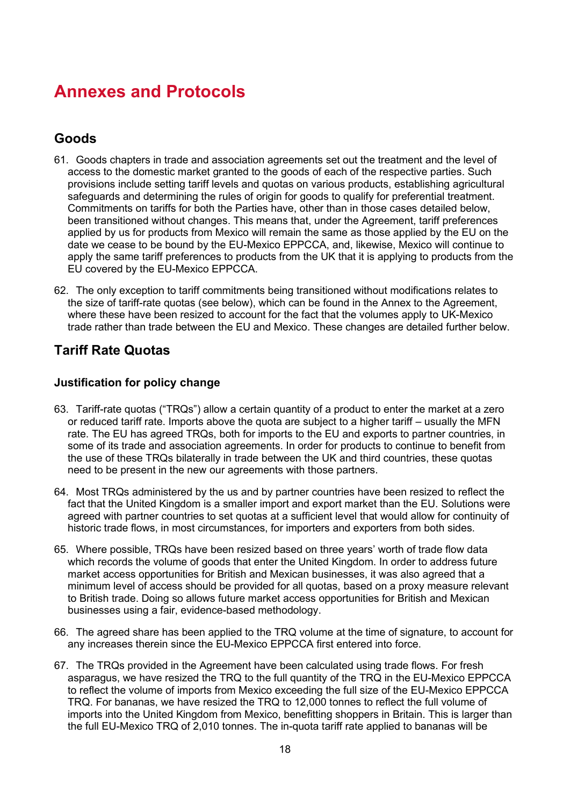# <span id="page-16-0"></span>**Annexes and Protocols**

## <span id="page-16-1"></span>**Goods**

- 61. Goods chapters in trade and association agreements set out the treatment and the level of access to the domestic market granted to the goods of each of the respective parties. Such provisions include setting tariff levels and quotas on various products, establishing agricultural safeguards and determining the rules of origin for goods to qualify for preferential treatment. Commitments on tariffs for both the Parties have, other than in those cases detailed below, been transitioned without changes. This means that, under the Agreement, tariff preferences applied by us for products from Mexico will remain the same as those applied by the EU on the date we cease to be bound by the EU-Mexico EPPCCA, and, likewise, Mexico will continue to apply the same tariff preferences to products from the UK that it is applying to products from the EU covered by the EU-Mexico EPPCCA.
- 62. The only exception to tariff commitments being transitioned without modifications relates to the size of tariff-rate quotas (see below), which can be found in the Annex to the Agreement, where these have been resized to account for the fact that the volumes apply to UK-Mexico trade rather than trade between the EU and Mexico. These changes are detailed further below.

## <span id="page-16-2"></span>**Tariff Rate Quotas**

#### **Justification for policy change**

- 63. Tariff-rate quotas ("TRQs") allow a certain quantity of a product to enter the market at a zero or reduced tariff rate. Imports above the quota are subject to a higher tariff – usually the MFN rate. The EU has agreed TRQs, both for imports to the EU and exports to partner countries, in some of its trade and association agreements. In order for products to continue to benefit from the use of these TRQs bilaterally in trade between the UK and third countries, these quotas need to be present in the new our agreements with those partners.
- 64. Most TRQs administered by the us and by partner countries have been resized to reflect the fact that the United Kingdom is a smaller import and export market than the EU. Solutions were agreed with partner countries to set quotas at a sufficient level that would allow for continuity of historic trade flows, in most circumstances, for importers and exporters from both sides.
- 65. Where possible, TRQs have been resized based on three years' worth of trade flow data which records the volume of goods that enter the United Kingdom. In order to address future market access opportunities for British and Mexican businesses, it was also agreed that a minimum level of access should be provided for all quotas, based on a proxy measure relevant to British trade. Doing so allows future market access opportunities for British and Mexican businesses using a fair, evidence-based methodology.
- 66. The agreed share has been applied to the TRQ volume at the time of signature, to account for any increases therein since the EU-Mexico EPPCCA first entered into force.
- 67. The TRQs provided in the Agreement have been calculated using trade flows. For fresh asparagus, we have resized the TRQ to the full quantity of the TRQ in the EU-Mexico EPPCCA to reflect the volume of imports from Mexico exceeding the full size of the EU-Mexico EPPCCA TRQ. For bananas, we have resized the TRQ to 12,000 tonnes to reflect the full volume of imports into the United Kingdom from Mexico, benefitting shoppers in Britain. This is larger than the full EU-Mexico TRQ of 2,010 tonnes. The in-quota tariff rate applied to bananas will be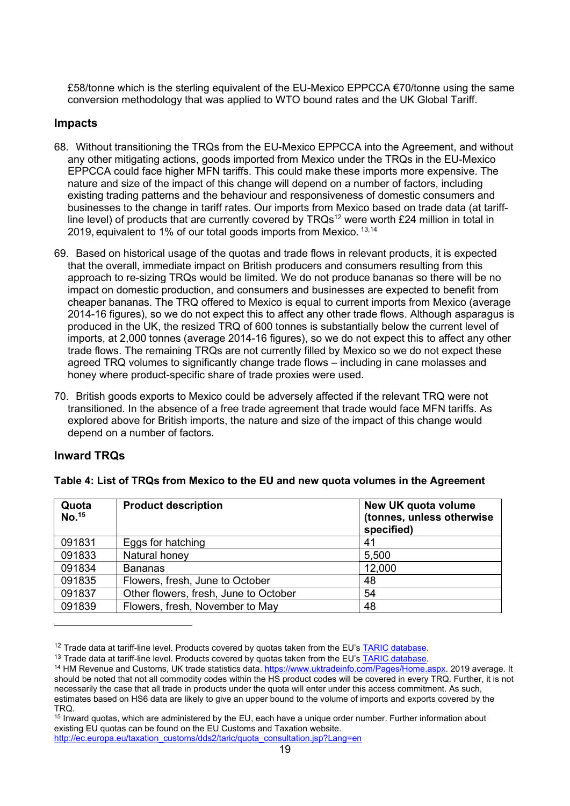£58/tonne which is the sterling equivalent of the EU-Mexico EPPCCA  $\epsilon$ 70/tonne using the same conversion methodology that was applied to WTO bound rates and the UK Global Tariff.

#### **Impacts**

- 68. Without transitioning the TRQs from the EU-Mexico EPPCCA into the Agreement, and without any other mitigating actions, goods imported from Mexico under the TRQs in the EU-Mexico EPPCCA could face higher MFN tariffs. This could make these imports more expensive. The nature and size of the impact of this change will depend on a number of factors, including existing trading patterns and the behaviour and responsiveness of domestic consumers and businesses to the change in tariff rates. Our imports from Mexico based on trade data (at tariffline level) of products that are currently covered by  $TRQs^{12}$  were worth £24 million in total in 2019, equivalent to 1% of our total goods imports from Mexico. <sup>13,14</sup>
- 69. Based on historical usage of the quotas and trade flows in relevant products, it is expected that the overall, immediate impact on British producers and consumers resulting from this approach to re-sizing TRQs would be limited. We do not produce bananas so there will be no impact on domestic production, and consumers and businesses are expected to benefit from cheaper bananas. The TRQ offered to Mexico is equal to current imports from Mexico (average 2014-16 figures), so we do not expect this to affect any other trade flows. Although asparagus is produced in the UK, the resized TRQ of 600 tonnes is substantially below the current level of imports, at 2,000 tonnes (average 2014-16 figures), so we do not expect this to affect any other trade flows. The remaining TRQs are not currently filled by Mexico so we do not expect these agreed TRQ volumes to significantly change trade flows – including in cane molasses and honey where product-specific share of trade proxies were used.
- 70. British goods exports to Mexico could be adversely affected if the relevant TRQ were not transitioned. In the absence of a free trade agreement that trade would face MFN tariffs. As explored above for British imports, the nature and size of the impact of this change would depend on a number of factors.

#### **Inward TRQs**

| Quota<br>No. <sup>15</sup> | <b>Product description</b>            | New UK quota volume<br>(tonnes, unless otherwise<br>specified) |
|----------------------------|---------------------------------------|----------------------------------------------------------------|
| 091831                     | Eggs for hatching                     | 41                                                             |
| 091833                     | Natural honey                         | 5,500                                                          |
| 091834                     | <b>Bananas</b>                        | 12,000                                                         |
| 091835                     | Flowers, fresh, June to October       | 48                                                             |
| 091837                     | Other flowers, fresh, June to October | 54                                                             |
| 091839                     | Flowers, fresh, November to May       | 48                                                             |

**Table 4: List of TRQs from Mexico to the EU and new quota volumes in the Agreement**

<sup>&</sup>lt;sup>12</sup> Trade data at tariff-line level. Products covered by quotas taken from the EU's [TARIC database.](https://ec.europa.eu/taxation_customs/dds2/taric/taric_consultation.jsp?Lang=en&SimDate=20200924)

<sup>&</sup>lt;sup>13</sup> Trade data at tariff-line level. Products covered by quotas taken from the EU's [TARIC database.](https://ec.europa.eu/taxation_customs/dds2/taric/taric_consultation.jsp?Lang=en&SimDate=20200924)

<sup>&</sup>lt;sup>14</sup> HM Revenue and Customs, UK trade statistics data. [https://www.uktradeinfo.com/Pages/Home.aspx.](https://www.uktradeinfo.com/Pages/Home.aspx) 2019 average. It should be noted that not all commodity codes within the HS product codes will be covered in every TRQ. Further, it is not necessarily the case that all trade in products under the quota will enter under this access commitment. As such, estimates based on HS6 data are likely to give an upper bound to the volume of imports and exports covered by the TRQ.

<sup>&</sup>lt;sup>15</sup> Inward quotas, which are administered by the EU, each have a unique order number. Further information about existing EU quotas can be found on the EU Customs and Taxation website.

[http://ec.europa.eu/taxation\\_customs/dds2/taric/quota\\_consultation.jsp?Lang=en](http://ec.europa.eu/taxation_customs/dds2/taric/quota_consultation.jsp?Lang=en)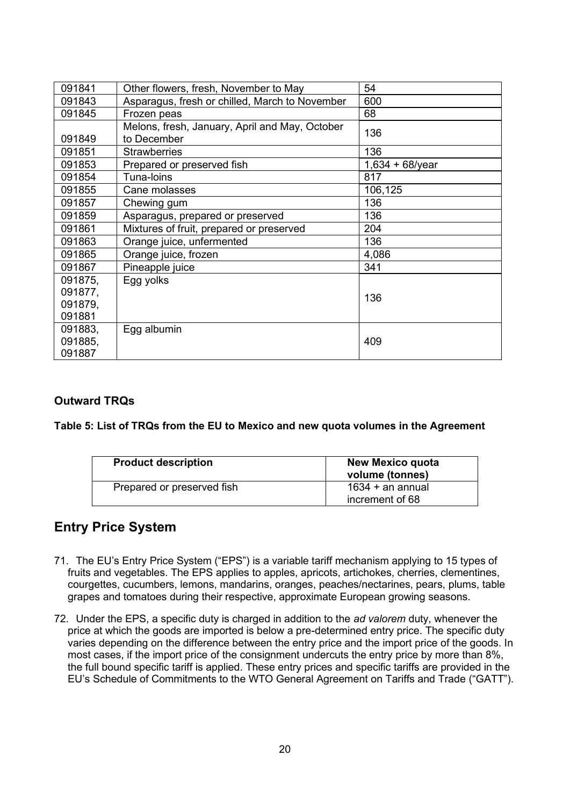| 091841  | Other flowers, fresh, November to May                         | 54                 |
|---------|---------------------------------------------------------------|--------------------|
| 091843  | Asparagus, fresh or chilled, March to November                | 600                |
| 091845  | Frozen peas                                                   | 68                 |
| 091849  | Melons, fresh, January, April and May, October<br>to December | 136                |
| 091851  | <b>Strawberries</b>                                           | 136                |
| 091853  | Prepared or preserved fish                                    | $1,634 + 68$ /year |
| 091854  | Tuna-loins                                                    | 817                |
| 091855  | Cane molasses                                                 | 106,125            |
| 091857  | Chewing gum                                                   | 136                |
| 091859  | Asparagus, prepared or preserved                              | 136                |
| 091861  | Mixtures of fruit, prepared or preserved                      | 204                |
| 091863  | Orange juice, unfermented                                     | 136                |
| 091865  | Orange juice, frozen                                          | 4,086              |
| 091867  | Pineapple juice                                               | 341                |
| 091875, | Egg yolks                                                     |                    |
| 091877, |                                                               | 136                |
| 091879, |                                                               |                    |
| 091881  |                                                               |                    |
| 091883, | Egg albumin                                                   |                    |
| 091885, |                                                               | 409                |
| 091887  |                                                               |                    |

#### **Outward TRQs**

**Table 5: List of TRQs from the EU to Mexico and new quota volumes in the Agreement**

| <b>Product description</b> | <b>New Mexico quota</b><br>volume (tonnes) |
|----------------------------|--------------------------------------------|
| Prepared or preserved fish | $1634 + an$ annual<br>increment of 68      |

## <span id="page-18-0"></span>**Entry Price System**

- 71. The EU's Entry Price System ("EPS") is a variable tariff mechanism applying to 15 types of fruits and vegetables. The EPS applies to apples, apricots, artichokes, cherries, clementines, courgettes, cucumbers, lemons, mandarins, oranges, peaches/nectarines, pears, plums, table grapes and tomatoes during their respective, approximate European growing seasons.
- <span id="page-18-1"></span>72. Under the EPS, a specific duty is charged in addition to the *ad valorem* duty, whenever the price at which the goods are imported is below a pre-determined entry price. The specific duty varies depending on the difference between the entry price and the import price of the goods. In most cases, if the import price of the consignment undercuts the entry price by more than 8%, the full bound specific tariff is applied. These entry prices and specific tariffs are provided in the EU's Schedule of Commitments to the WTO General Agreement on Tariffs and Trade ("GATT").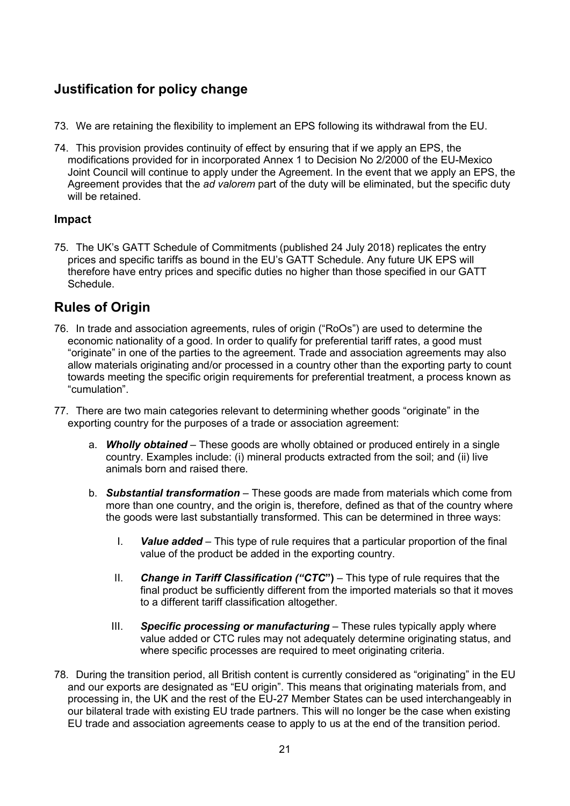# **Justification for policy change**

- 73. We are retaining the flexibility to implement an EPS following its withdrawal from the EU.
- 74. This provision provides continuity of effect by ensuring that if we apply an EPS, the modifications provided for in incorporated Annex 1 to Decision No 2/2000 of the EU-Mexico Joint Council will continue to apply under the Agreement. In the event that we apply an EPS, the Agreement provides that the *ad valorem* part of the duty will be eliminated, but the specific duty will be retained.

#### **Impact**

75. The UK's GATT Schedule of Commitments (published 24 July 2018) replicates the entry prices and specific tariffs as bound in the EU's GATT Schedule. Any future UK EPS will therefore have entry prices and specific duties no higher than those specified in our GATT Schedule.

## <span id="page-19-0"></span>**Rules of Origin**

- 76. In trade and association agreements, rules of origin ("RoOs") are used to determine the economic nationality of a good. In order to qualify for preferential tariff rates, a good must "originate" in one of the parties to the agreement. Trade and association agreements may also allow materials originating and/or processed in a country other than the exporting party to count towards meeting the specific origin requirements for preferential treatment, a process known as "cumulation".
- 77. There are two main categories relevant to determining whether goods "originate" in the exporting country for the purposes of a trade or association agreement:
	- a. *Wholly obtained* These goods are wholly obtained or produced entirely in a single country. Examples include: (i) mineral products extracted from the soil; and (ii) live animals born and raised there.
	- b. *Substantial transformation* These goods are made from materials which come from more than one country, and the origin is, therefore, defined as that of the country where the goods were last substantially transformed. This can be determined in three ways:
		- I. *Value added* This type of rule requires that a particular proportion of the final value of the product be added in the exporting country.
		- II. *Change in Tariff Classification ("CTC***")** This type of rule requires that the final product be sufficiently different from the imported materials so that it moves to a different tariff classification altogether.
		- III. *Specific processing or manufacturing* These rules typically apply where value added or CTC rules may not adequately determine originating status, and where specific processes are required to meet originating criteria.
- 78. During the transition period, all British content is currently considered as "originating" in the EU and our exports are designated as "EU origin". This means that originating materials from, and processing in, the UK and the rest of the EU-27 Member States can be used interchangeably in our bilateral trade with existing EU trade partners. This will no longer be the case when existing EU trade and association agreements cease to apply to us at the end of the transition period.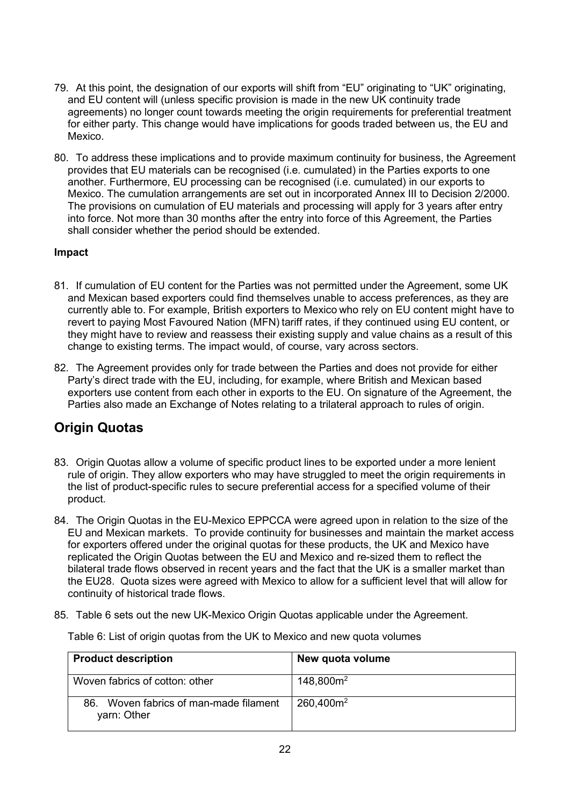- 79. At this point, the designation of our exports will shift from "EU" originating to "UK" originating, and EU content will (unless specific provision is made in the new UK continuity trade agreements) no longer count towards meeting the origin requirements for preferential treatment for either party. This change would have implications for goods traded between us, the EU and Mexico.
- 80. To address these implications and to provide maximum continuity for business, the Agreement provides that EU materials can be recognised (i.e. cumulated) in the Parties exports to one another. Furthermore, EU processing can be recognised (i.e. cumulated) in our exports to Mexico. The cumulation arrangements are set out in incorporated Annex III to Decision 2/2000. The provisions on cumulation of EU materials and processing will apply for 3 years after entry into force. Not more than 30 months after the entry into force of this Agreement, the Parties shall consider whether the period should be extended.

#### **Impact**

- 81. If cumulation of EU content for the Parties was not permitted under the Agreement, some UK and Mexican based exporters could find themselves unable to access preferences, as they are currently able to. For example, British exporters to Mexico who rely on EU content might have to revert to paying Most Favoured Nation (MFN) tariff rates, if they continued using EU content, or they might have to review and reassess their existing supply and value chains as a result of this change to existing terms. The impact would, of course, vary across sectors.
- 82. The Agreement provides only for trade between the Parties and does not provide for either Party's direct trade with the EU, including, for example, where British and Mexican based exporters use content from each other in exports to the EU. On signature of the Agreement, the Parties also made an Exchange of Notes relating to a trilateral approach to rules of origin.

## <span id="page-20-0"></span>**Origin Quotas**

- 83. Origin Quotas allow a volume of specific product lines to be exported under a more lenient rule of origin. They allow exporters who may have struggled to meet the origin requirements in the list of product-specific rules to secure preferential access for a specified volume of their product.
- 84. The Origin Quotas in the EU-Mexico EPPCCA were agreed upon in relation to the size of the EU and Mexican markets. To provide continuity for businesses and maintain the market access for exporters offered under the original quotas for these products, the UK and Mexico have replicated the Origin Quotas between the EU and Mexico and re-sized them to reflect the bilateral trade flows observed in recent years and the fact that the UK is a smaller market than the EU28. Quota sizes were agreed with Mexico to allow for a sufficient level that will allow for continuity of historical trade flows.
- 85. Table 6 sets out the new UK-Mexico Origin Quotas applicable under the Agreement.

| <b>Product description</b>                                 | New quota volume |
|------------------------------------------------------------|------------------|
| Woven fabrics of cotton: other                             | $148,800m^2$     |
| Woven fabrics of man-made filament<br>86. .<br>yarn: Other | $260,400m^2$     |

Table 6: List of origin quotas from the UK to Mexico and new quota volumes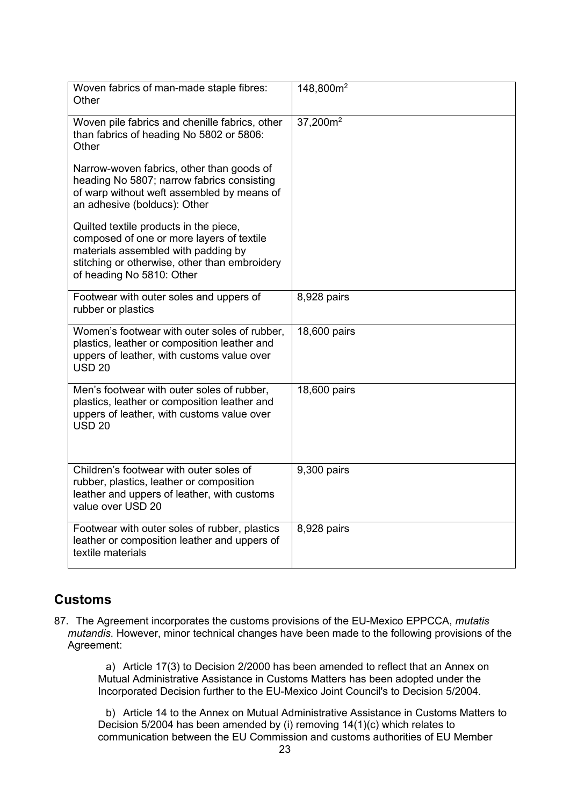| Woven fabrics of man-made staple fibres:<br>Other                                                                                                                                                        | 148,800m <sup>2</sup> |
|----------------------------------------------------------------------------------------------------------------------------------------------------------------------------------------------------------|-----------------------|
| Woven pile fabrics and chenille fabrics, other<br>than fabrics of heading No 5802 or 5806:<br>Other                                                                                                      | $37,200m^2$           |
| Narrow-woven fabrics, other than goods of<br>heading No 5807; narrow fabrics consisting<br>of warp without weft assembled by means of<br>an adhesive (bolducs): Other                                    |                       |
| Quilted textile products in the piece,<br>composed of one or more layers of textile<br>materials assembled with padding by<br>stitching or otherwise, other than embroidery<br>of heading No 5810: Other |                       |
| Footwear with outer soles and uppers of<br>rubber or plastics                                                                                                                                            | 8,928 pairs           |
| Women's footwear with outer soles of rubber,<br>plastics, leather or composition leather and<br>uppers of leather, with customs value over<br><b>USD 20</b>                                              | 18,600 pairs          |
| Men's footwear with outer soles of rubber,<br>plastics, leather or composition leather and<br>uppers of leather, with customs value over<br><b>USD 20</b>                                                | 18,600 pairs          |
| Children's footwear with outer soles of<br>rubber, plastics, leather or composition<br>leather and uppers of leather, with customs<br>value over USD 20                                                  | 9,300 pairs           |
| Footwear with outer soles of rubber, plastics<br>leather or composition leather and uppers of<br>textile materials                                                                                       | 8,928 pairs           |

## **Customs**

87. The Agreement incorporates the customs provisions of the EU-Mexico EPPCCA, *mutatis mutandis*. However, minor technical changes have been made to the following provisions of the Agreement:

a) Article 17(3) to Decision 2/2000 has been amended to reflect that an Annex on Mutual Administrative Assistance in Customs Matters has been adopted under the Incorporated Decision further to the EU-Mexico Joint Council's to Decision 5/2004.

b) Article 14 to the Annex on Mutual Administrative Assistance in Customs Matters to Decision 5/2004 has been amended by (i) removing 14(1)(c) which relates to communication between the EU Commission and customs authorities of EU Member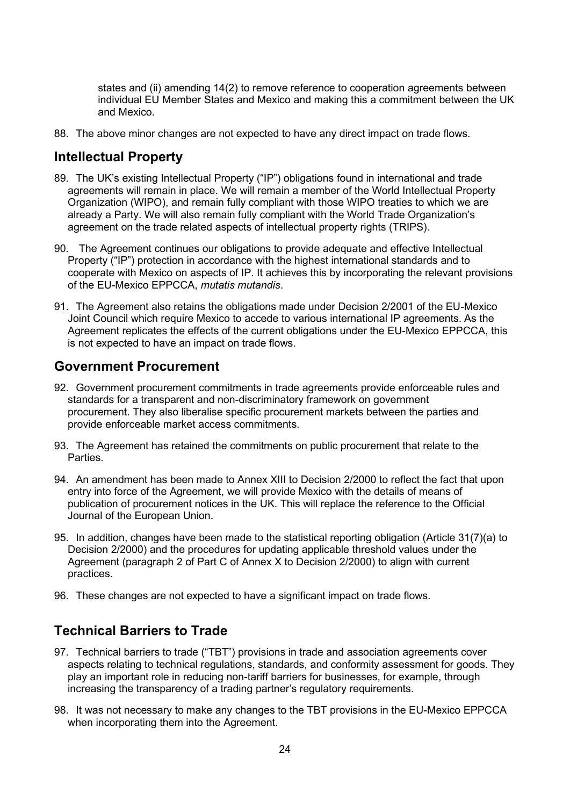states and (ii) amending 14(2) to remove reference to cooperation agreements between individual EU Member States and Mexico and making this a commitment between the UK and Mexico.

88. The above minor changes are not expected to have any direct impact on trade flows.

## <span id="page-22-0"></span>**Intellectual Property**

- 89. The UK's existing Intellectual Property ("IP") obligations found in international and trade agreements will remain in place. We will remain a member of the World Intellectual Property Organization (WIPO), and remain fully compliant with those WIPO treaties to which we are already a Party. We will also remain fully compliant with the World Trade Organization's agreement on the trade related aspects of intellectual property rights (TRIPS).
- 90. The Agreement continues our obligations to provide adequate and effective Intellectual Property ("IP") protection in accordance with the highest international standards and to cooperate with Mexico on aspects of IP. It achieves this by incorporating the relevant provisions of the EU-Mexico EPPCCA, *mutatis mutandis*.
- 91. The Agreement also retains the obligations made under Decision 2/2001 of the EU-Mexico Joint Council which require Mexico to accede to various international IP agreements. As the Agreement replicates the effects of the current obligations under the EU-Mexico EPPCCA, this is not expected to have an impact on trade flows.

#### <span id="page-22-1"></span>**Government Procurement**

- 92. Government procurement commitments in trade agreements provide enforceable rules and standards for a transparent and non-discriminatory framework on government procurement. They also liberalise specific procurement markets between the parties and provide enforceable market access commitments.
- 93. The Agreement has retained the commitments on public procurement that relate to the Parties.
- 94. An amendment has been made to Annex XIII to Decision 2/2000 to reflect the fact that upon entry into force of the Agreement, we will provide Mexico with the details of means of publication of procurement notices in the UK. This will replace the reference to the Official Journal of the European Union.
- 95. In addition, changes have been made to the statistical reporting obligation (Article 31(7)(a) to Decision 2/2000) and the procedures for updating applicable threshold values under the Agreement (paragraph 2 of Part C of Annex X to Decision 2/2000) to align with current practices.
- 96. These changes are not expected to have a significant impact on trade flows.

#### <span id="page-22-2"></span>**Technical Barriers to Trade**

- 97. Technical barriers to trade ("TBT") provisions in trade and association agreements cover aspects relating to technical regulations, standards, and conformity assessment for goods. They play an important role in reducing non-tariff barriers for businesses, for example, through increasing the transparency of a trading partner's regulatory requirements.
- 98. It was not necessary to make any changes to the TBT provisions in the EU-Mexico EPPCCA when incorporating them into the Agreement.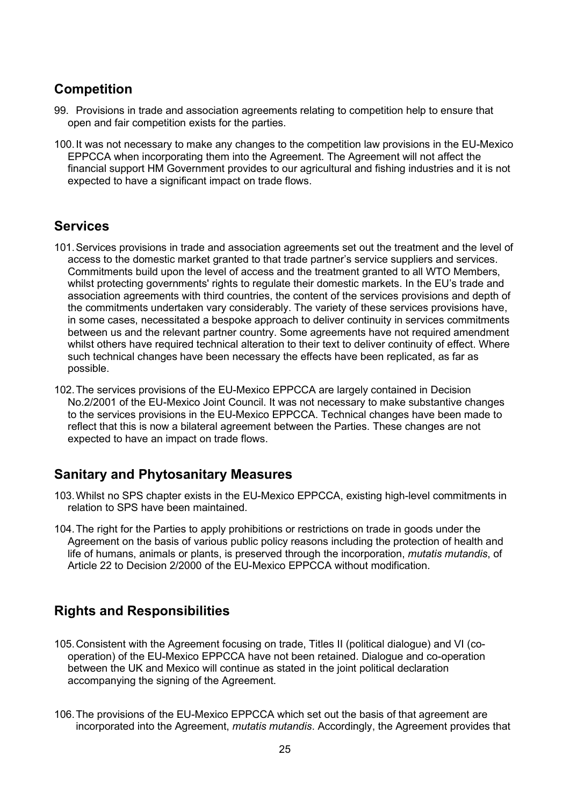## <span id="page-23-0"></span>**Competition**

- 99. Provisions in trade and association agreements relating to competition help to ensure that open and fair competition exists for the parties.
- 100.It was not necessary to make any changes to the competition law provisions in the EU-Mexico EPPCCA when incorporating them into the Agreement. The Agreement will not affect the financial support HM Government provides to our agricultural and fishing industries and it is not expected to have a significant impact on trade flows.

#### <span id="page-23-1"></span>**Services**

- 101.Services provisions in trade and association agreements set out the treatment and the level of access to the domestic market granted to that trade partner's service suppliers and services. Commitments build upon the level of access and the treatment granted to all WTO Members, whilst protecting governments' rights to regulate their domestic markets. In the EU's trade and association agreements with third countries, the content of the services provisions and depth of the commitments undertaken vary considerably. The variety of these services provisions have, in some cases, necessitated a bespoke approach to deliver continuity in services commitments between us and the relevant partner country. Some agreements have not required amendment whilst others have required technical alteration to their text to deliver continuity of effect. Where such technical changes have been necessary the effects have been replicated, as far as possible.
- 102.The services provisions of the EU-Mexico EPPCCA are largely contained in Decision No.2/2001 of the EU-Mexico Joint Council. It was not necessary to make substantive changes to the services provisions in the EU-Mexico EPPCCA. Technical changes have been made to reflect that this is now a bilateral agreement between the Parties. These changes are not expected to have an impact on trade flows.

## <span id="page-23-2"></span>**Sanitary and Phytosanitary Measures**

- 103.Whilst no SPS chapter exists in the EU-Mexico EPPCCA, existing high-level commitments in relation to SPS have been maintained.
- 104.The right for the Parties to apply prohibitions or restrictions on trade in goods under the Agreement on the basis of various public policy reasons including the protection of health and life of humans, animals or plants, is preserved through the incorporation, *mutatis mutandis*, of Article 22 to Decision 2/2000 of the EU-Mexico EPPCCA without modification.

## <span id="page-23-3"></span>**Rights and Responsibilities**

- 105.Consistent with the Agreement focusing on trade, Titles II (political dialogue) and VI (cooperation) of the EU-Mexico EPPCCA have not been retained. Dialogue and co-operation between the UK and Mexico will continue as stated in the joint political declaration accompanying the signing of the Agreement.
- 106.The provisions of the EU-Mexico EPPCCA which set out the basis of that agreement are incorporated into the Agreement, *mutatis mutandis*. Accordingly, the Agreement provides that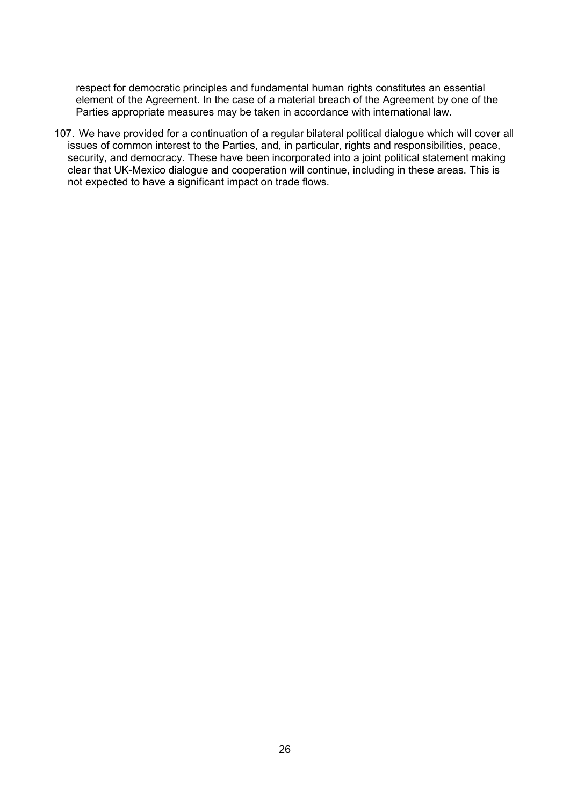respect for democratic principles and fundamental human rights constitutes an essential element of the Agreement. In the case of a material breach of the Agreement by one of the Parties appropriate measures may be taken in accordance with international law.

107. We have provided for a continuation of a regular bilateral political dialogue which will cover all issues of common interest to the Parties, and, in particular, rights and responsibilities, peace, security, and democracy. These have been incorporated into a joint political statement making clear that UK-Mexico dialogue and cooperation will continue, including in these areas. This is not expected to have a significant impact on trade flows.